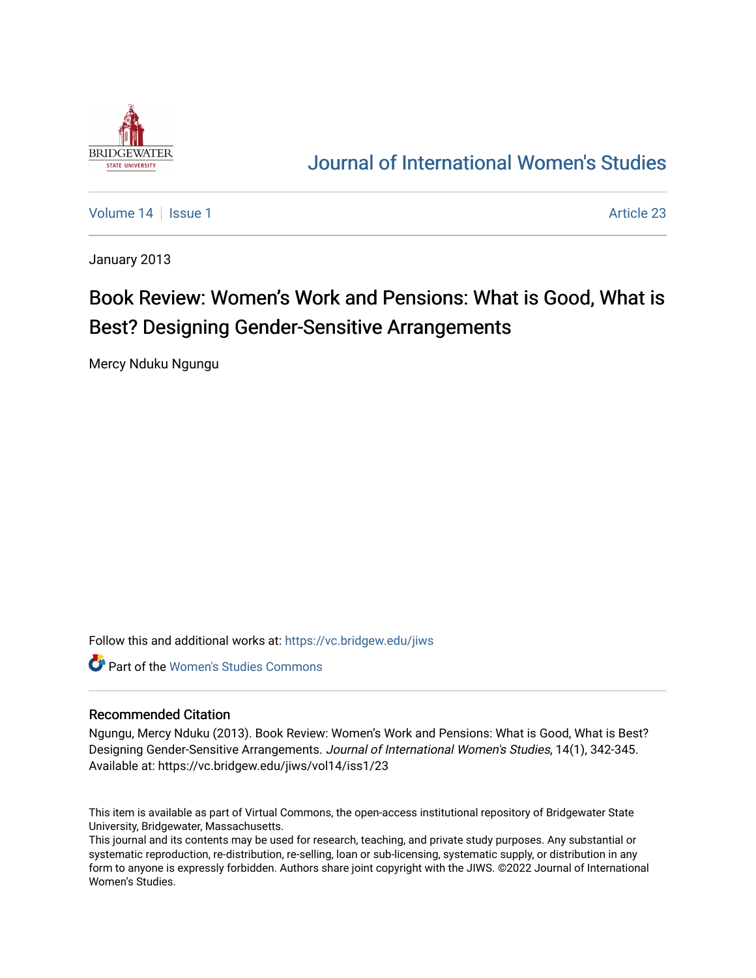

## [Journal of International Women's Studies](https://vc.bridgew.edu/jiws)

[Volume 14](https://vc.bridgew.edu/jiws/vol14) Sexual 1 Article 23

January 2013

# Book Review: Women's Work and Pensions: What is Good, What is Best? Designing Gender-Sensitive Arrangements

Mercy Nduku Ngungu

Follow this and additional works at: [https://vc.bridgew.edu/jiws](https://vc.bridgew.edu/jiws?utm_source=vc.bridgew.edu%2Fjiws%2Fvol14%2Fiss1%2F23&utm_medium=PDF&utm_campaign=PDFCoverPages)

Part of the [Women's Studies Commons](http://network.bepress.com/hgg/discipline/561?utm_source=vc.bridgew.edu%2Fjiws%2Fvol14%2Fiss1%2F23&utm_medium=PDF&utm_campaign=PDFCoverPages) 

### Recommended Citation

Ngungu, Mercy Nduku (2013). Book Review: Women's Work and Pensions: What is Good, What is Best? Designing Gender-Sensitive Arrangements. Journal of International Women's Studies, 14(1), 342-345. Available at: https://vc.bridgew.edu/jiws/vol14/iss1/23

This item is available as part of Virtual Commons, the open-access institutional repository of Bridgewater State University, Bridgewater, Massachusetts.

This journal and its contents may be used for research, teaching, and private study purposes. Any substantial or systematic reproduction, re-distribution, re-selling, loan or sub-licensing, systematic supply, or distribution in any form to anyone is expressly forbidden. Authors share joint copyright with the JIWS. ©2022 Journal of International Women's Studies.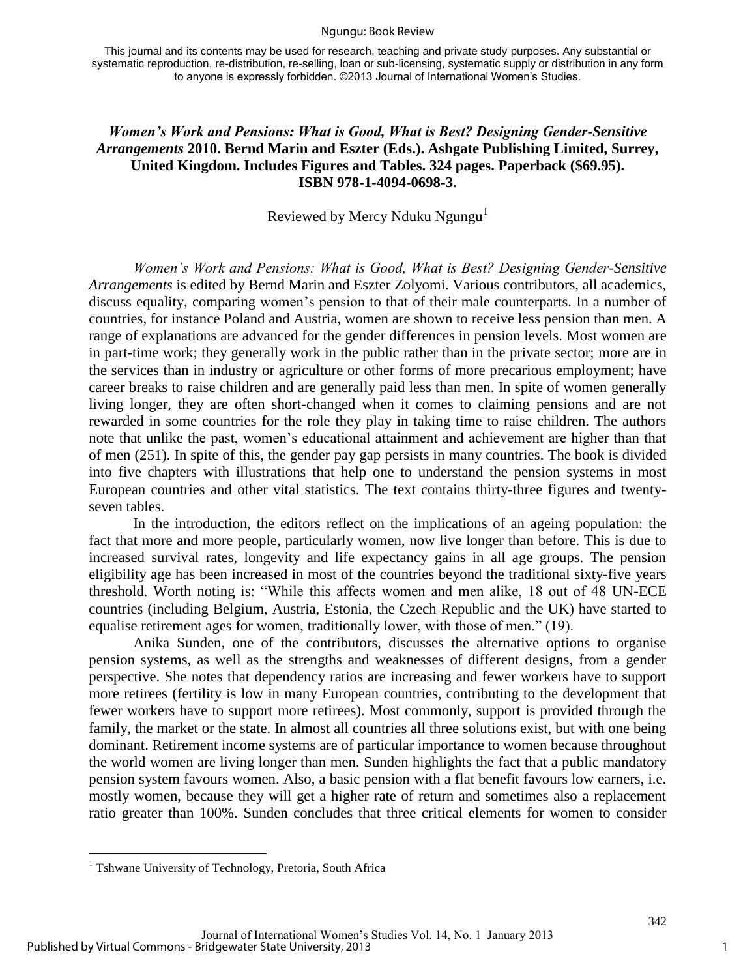#### Ngungu: Book Review

This journal and its contents may be used for research, teaching and private study purposes. Any substantial or systematic reproduction, re-distribution, re-selling, loan or sub-licensing, systematic supply or distribution in any form to anyone is expressly forbidden. ©2013 Journal of International Women's Studies.

## *Women's Work and Pensions: What is Good, What is Best? Designing Gender-Sensitive Arrangements* **2010. Bernd Marin and Eszter (Eds.). Ashgate Publishing Limited, Surrey, United Kingdom. Includes Figures and Tables. 324 pages. Paperback (\$69.95). ISBN 978-1-4094-0698-3.**

## Reviewed by Mercy Nduku Ngungu $<sup>1</sup>$ </sup>

*Women's Work and Pensions: What is Good, What is Best? Designing Gender-Sensitive Arrangements* is edited by Bernd Marin and Eszter Zolyomi. Various contributors, all academics, discuss equality, comparing women's pension to that of their male counterparts. In a number of countries, for instance Poland and Austria, women are shown to receive less pension than men. A range of explanations are advanced for the gender differences in pension levels. Most women are in part-time work; they generally work in the public rather than in the private sector; more are in the services than in industry or agriculture or other forms of more precarious employment; have career breaks to raise children and are generally paid less than men. In spite of women generally living longer, they are often short-changed when it comes to claiming pensions and are not rewarded in some countries for the role they play in taking time to raise children. The authors note that unlike the past, women's educational attainment and achievement are higher than that of men (251). In spite of this, the gender pay gap persists in many countries. The book is divided into five chapters with illustrations that help one to understand the pension systems in most European countries and other vital statistics. The text contains thirty-three figures and twentyseven tables.

In the introduction, the editors reflect on the implications of an ageing population: the fact that more and more people, particularly women, now live longer than before. This is due to increased survival rates, longevity and life expectancy gains in all age groups. The pension eligibility age has been increased in most of the countries beyond the traditional sixty-five years threshold. Worth noting is: "While this affects women and men alike, 18 out of 48 UN-ECE countries (including Belgium, Austria, Estonia, the Czech Republic and the UK) have started to equalise retirement ages for women, traditionally lower, with those of men." (19).

Anika Sunden, one of the contributors, discusses the alternative options to organise pension systems, as well as the strengths and weaknesses of different designs, from a gender perspective. She notes that dependency ratios are increasing and fewer workers have to support more retirees (fertility is low in many European countries, contributing to the development that fewer workers have to support more retirees). Most commonly, support is provided through the family, the market or the state. In almost all countries all three solutions exist, but with one being dominant. Retirement income systems are of particular importance to women because throughout the world women are living longer than men. Sunden highlights the fact that a public mandatory pension system favours women. Also, a basic pension with a flat benefit favours low earners, i.e. mostly women, because they will get a higher rate of return and sometimes also a replacement ratio greater than 100%. Sunden concludes that three critical elements for women to consider

<sup>&</sup>lt;sup>1</sup> Tshwane University of Technology, Pretoria, South Africa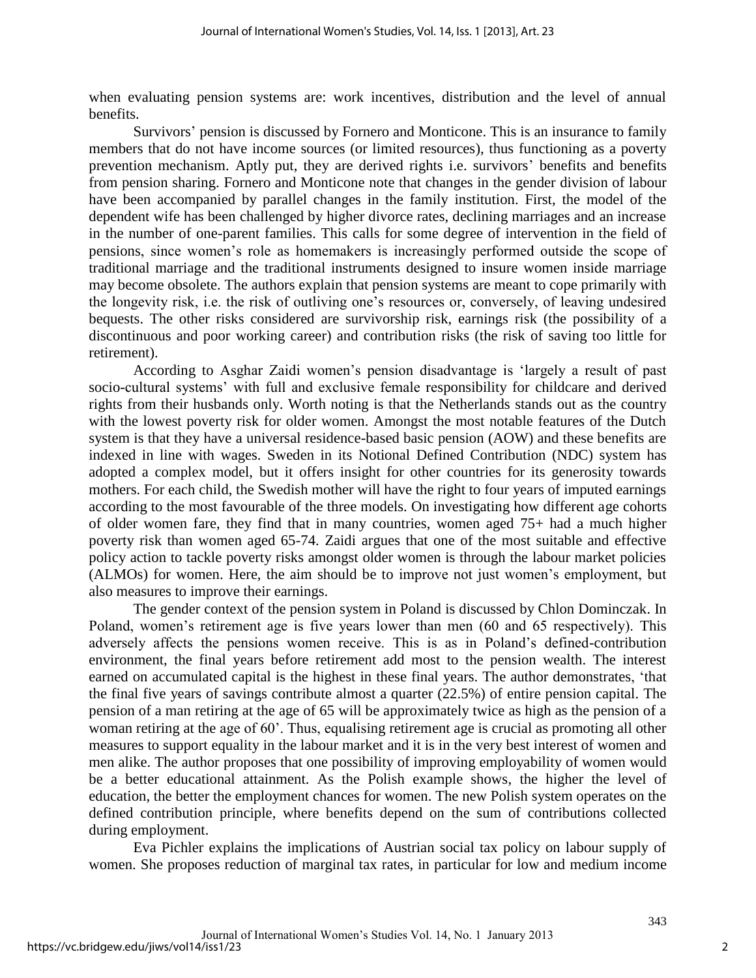when evaluating pension systems are: work incentives, distribution and the level of annual benefits.

Survivors' pension is discussed by Fornero and Monticone. This is an insurance to family members that do not have income sources (or limited resources), thus functioning as a poverty prevention mechanism. Aptly put, they are derived rights i.e. survivors' benefits and benefits from pension sharing. Fornero and Monticone note that changes in the gender division of labour have been accompanied by parallel changes in the family institution. First, the model of the dependent wife has been challenged by higher divorce rates, declining marriages and an increase in the number of one-parent families. This calls for some degree of intervention in the field of pensions, since women's role as homemakers is increasingly performed outside the scope of traditional marriage and the traditional instruments designed to insure women inside marriage may become obsolete. The authors explain that pension systems are meant to cope primarily with the longevity risk, i.e. the risk of outliving one's resources or, conversely, of leaving undesired bequests. The other risks considered are survivorship risk, earnings risk (the possibility of a discontinuous and poor working career) and contribution risks (the risk of saving too little for retirement).

According to Asghar Zaidi women's pension disadvantage is 'largely a result of past socio-cultural systems' with full and exclusive female responsibility for childcare and derived rights from their husbands only. Worth noting is that the Netherlands stands out as the country with the lowest poverty risk for older women. Amongst the most notable features of the Dutch system is that they have a universal residence-based basic pension (AOW) and these benefits are indexed in line with wages. Sweden in its Notional Defined Contribution (NDC) system has adopted a complex model, but it offers insight for other countries for its generosity towards mothers. For each child, the Swedish mother will have the right to four years of imputed earnings according to the most favourable of the three models. On investigating how different age cohorts of older women fare, they find that in many countries, women aged 75+ had a much higher poverty risk than women aged 65-74. Zaidi argues that one of the most suitable and effective policy action to tackle poverty risks amongst older women is through the labour market policies (ALMOs) for women. Here, the aim should be to improve not just women's employment, but also measures to improve their earnings.

The gender context of the pension system in Poland is discussed by Chlon Dominczak. In Poland, women's retirement age is five years lower than men (60 and 65 respectively). This adversely affects the pensions women receive. This is as in Poland's defined-contribution environment, the final years before retirement add most to the pension wealth. The interest earned on accumulated capital is the highest in these final years. The author demonstrates, 'that the final five years of savings contribute almost a quarter (22.5%) of entire pension capital. The pension of a man retiring at the age of 65 will be approximately twice as high as the pension of a woman retiring at the age of 60'. Thus, equalising retirement age is crucial as promoting all other measures to support equality in the labour market and it is in the very best interest of women and men alike. The author proposes that one possibility of improving employability of women would be a better educational attainment. As the Polish example shows, the higher the level of education, the better the employment chances for women. The new Polish system operates on the defined contribution principle, where benefits depend on the sum of contributions collected during employment.

Eva Pichler explains the implications of Austrian social tax policy on labour supply of women. She proposes reduction of marginal tax rates, in particular for low and medium income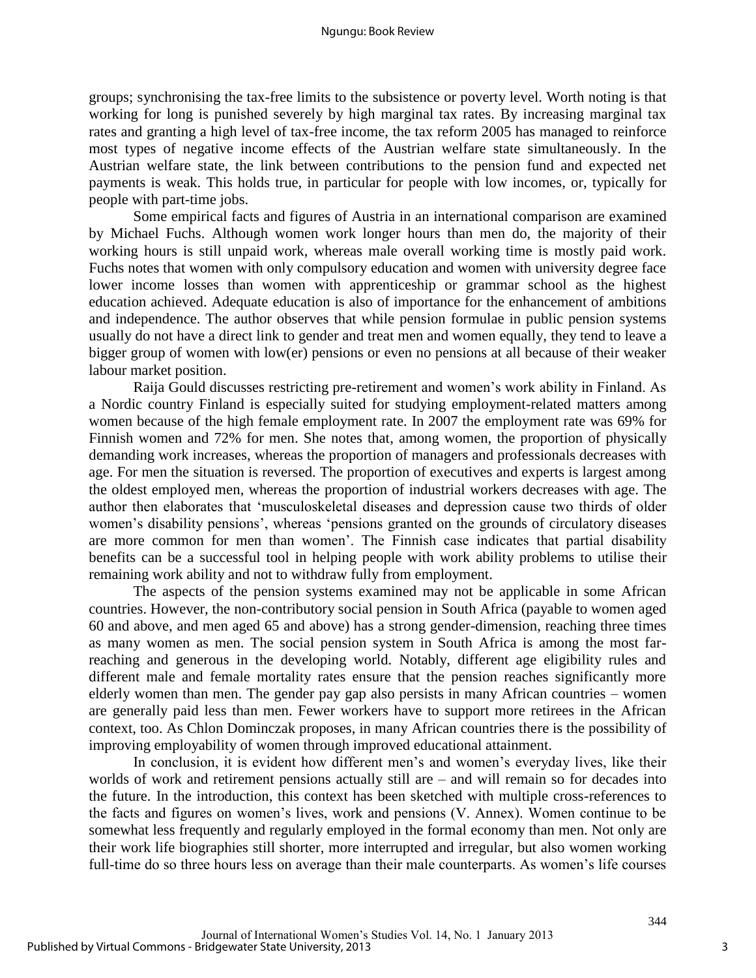groups; synchronising the tax-free limits to the subsistence or poverty level. Worth noting is that working for long is punished severely by high marginal tax rates. By increasing marginal tax rates and granting a high level of tax-free income, the tax reform 2005 has managed to reinforce most types of negative income effects of the Austrian welfare state simultaneously. In the Austrian welfare state, the link between contributions to the pension fund and expected net payments is weak. This holds true, in particular for people with low incomes, or, typically for people with part-time jobs.

Some empirical facts and figures of Austria in an international comparison are examined by Michael Fuchs. Although women work longer hours than men do, the majority of their working hours is still unpaid work, whereas male overall working time is mostly paid work. Fuchs notes that women with only compulsory education and women with university degree face lower income losses than women with apprenticeship or grammar school as the highest education achieved. Adequate education is also of importance for the enhancement of ambitions and independence. The author observes that while pension formulae in public pension systems usually do not have a direct link to gender and treat men and women equally, they tend to leave a bigger group of women with low(er) pensions or even no pensions at all because of their weaker labour market position.

Raija Gould discusses restricting pre-retirement and women's work ability in Finland. As a Nordic country Finland is especially suited for studying employment-related matters among women because of the high female employment rate. In 2007 the employment rate was 69% for Finnish women and 72% for men. She notes that, among women, the proportion of physically demanding work increases, whereas the proportion of managers and professionals decreases with age. For men the situation is reversed. The proportion of executives and experts is largest among the oldest employed men, whereas the proportion of industrial workers decreases with age. The author then elaborates that 'musculoskeletal diseases and depression cause two thirds of older women's disability pensions', whereas 'pensions granted on the grounds of circulatory diseases are more common for men than women'. The Finnish case indicates that partial disability benefits can be a successful tool in helping people with work ability problems to utilise their remaining work ability and not to withdraw fully from employment.

The aspects of the pension systems examined may not be applicable in some African countries. However, the non-contributory social pension in South Africa (payable to women aged 60 and above, and men aged 65 and above) has a strong gender-dimension, reaching three times as many women as men. The social pension system in South Africa is among the most farreaching and generous in the developing world. Notably, different age eligibility rules and different male and female mortality rates ensure that the pension reaches significantly more elderly women than men. The gender pay gap also persists in many African countries – women are generally paid less than men. Fewer workers have to support more retirees in the African context, too. As Chlon Dominczak proposes, in many African countries there is the possibility of improving employability of women through improved educational attainment.

In conclusion, it is evident how different men's and women's everyday lives, like their worlds of work and retirement pensions actually still are – and will remain so for decades into the future. In the introduction, this context has been sketched with multiple cross-references to the facts and figures on women's lives, work and pensions (V. Annex). Women continue to be somewhat less frequently and regularly employed in the formal economy than men. Not only are their work life biographies still shorter, more interrupted and irregular, but also women working full-time do so three hours less on average than their male counterparts. As women's life courses